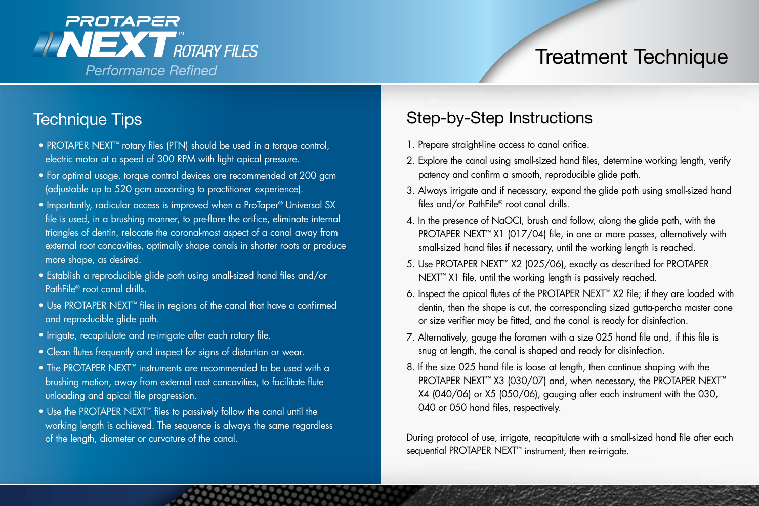

## Technique Tips

- PROTAPER NEXT™ rotary files (PTN) should be used in a torque control, electric motor at a speed of 300 RPM with light apical pressure.
- For optimal usage, torque control devices are recommended at 200 gcm (adjustable up to 520 gcm according to practitioner experience).
- Importantly, radicular access is improved when a ProTaper® Universal SX file is used, in a brushing manner, to pre-flare the orifice, eliminate internal triangles of dentin, relocate the coronal-most aspect of a canal away from external root concavities, optimally shape canals in shorter roots or produce more shape, as desired.
- Establish a reproducible glide path using small-sized hand files and/or PathFile® root canal drills.
- Use PROTAPER NEXT™ files in regions of the canal that have a confirmed and reproducible glide path.
- Irrigate, recapitulate and re-irrigate after each rotary file.
- Clean flutes frequently and inspect for signs of distortion or wear.
- The PROTAPER NEXT™ instruments are recommended to be used with a brushing motion, away from external root concavities, to facilitate flute unloading and apical file progression.
- Use the PROTAPER NEXT™ files to passively follow the canal until the working length is achieved. The sequence is always the same regardless of the length, diameter or curvature of the canal.

## Step-by-Step Instructions

- 1. Prepare straight-line access to canal orifice.
- 2. Explore the canal using small-sized hand files, determine working length, verify patency and confirm a smooth, reproducible glide path.
- 3. Always irrigate and if necessary, expand the glide path using small-sized hand files and/or PathFile® root canal drills.
- 4. In the presence of NaOCI, brush and follow, along the glide path, with the PROTAPER NEXT<sup>™</sup> X1 (017/04) file, in one or more passes, alternatively with small-sized hand files if necessary, until the working length is reached.
- 5. Use PROTAPER NEXT™ X2 (025/06), exactly as described for PROTAPER NEXT<sup>™</sup> X1 file, until the working length is passively reached.
- 6. Inspect the apical flutes of the PROTAPER NEXT™ X2 file; if they are loaded with dentin, then the shape is cut, the corresponding sized gutta-percha master cone or size verifier may be fitted, and the canal is ready for disinfection.
- 7. Alternatively, gauge the foramen with a size 025 hand file and, if this file is snug at length, the canal is shaped and ready for disinfection.
- 8. If the size 025 hand file is loose at length, then continue shaping with the PROTAPER NEXT™ X3 (030/07) and, when necessary, the PROTAPER NEXT™ X4 (040/06) or X5 (050/06), gauging after each instrument with the 030, 040 or 050 hand files, respectively.

During protocol of use, irrigate, recapitulate with a small-sized hand file after each sequential PROTAPER NEXT<sup>™</sup> instrument, then re-irrigate.